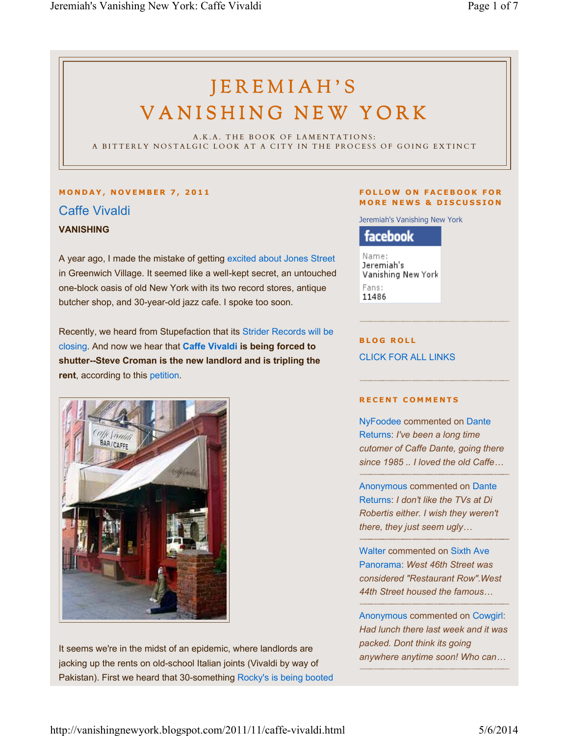# JEREMIAH'S VANISHING NEW YORK

A.K.A. THE BOOK OF LAMENTATIONS: A BITTERLY NOSTALGIC LOOK AT A CITY IN THE PROCESS OF GOING EXTINCT

# **M O N D A Y , N O V E M B E R 7 , 2 0 1 1** Caffe Vivaldi **VANISHING**

A year ago, I made the mistake of getting excited about Jones Street in Greenwich Village. It seemed like a well-kept secret, an untouched one-block oasis of old New York with its two record stores, antique butcher shop, and 30-year-old jazz cafe. I spoke too soon.

Recently, we heard from Stupefaction that its Strider Records will be closing. And now we hear that **Caffe Vivaldi is being forced to shutter--Steve Croman is the new landlord and is tripling the rent**, according to this petition.



It seems we're in the midst of an epidemic, where landlords are jacking up the rents on old-school Italian joints (Vivaldi by way of Pakistan). First we heard that 30-something Rocky's is being booted

#### **FOLLOW ON FACEBOOK FOR MORE NEWS & DISCUSSION**

Jeremiah's Vanishing New York

facebook

Name: Jeremiah's Vanishing New York Fans: 11486

**BLOG ROLL** CLICK FOR ALL LINKS

#### **R E C E N T C O M M E N T S**

NyFoodee commented on Dante Returns: *I've been a long time cutomer of Caffe Dante, going there since 1985 .. I loved the old Caffe…*

Anonymous commented on Dante Returns: *I don't like the TVs at Di Robertis either. I wish they weren't there, they just seem ugly…*

Walter commented on Sixth Ave Panorama: *West 46th Street was considered "Restaurant Row".West 44th Street housed the famous…*

Anonymous commented on Cowgirl: *Had lunch there last week and it was packed. Dont think its going anywhere anytime soon! Who can…*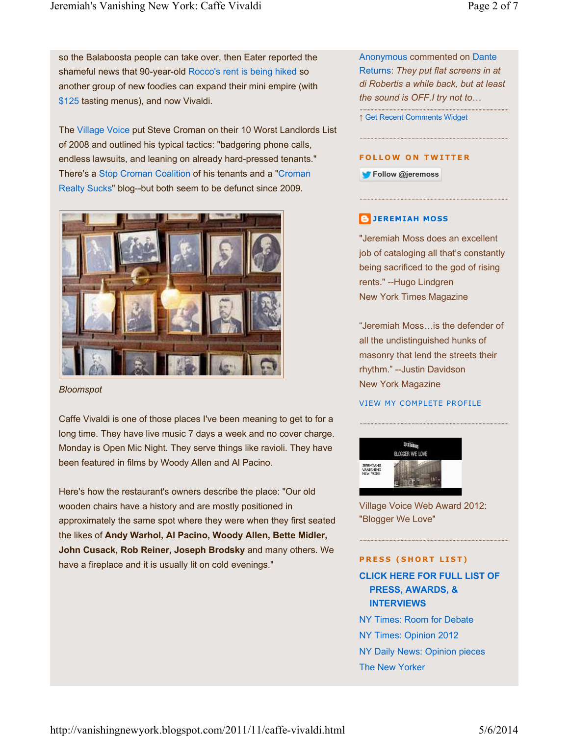so the Balaboosta people can take over, then Eater reported the shameful news that 90-year-old Rocco's rent is being hiked so another group of new foodies can expand their mini empire (with \$125 tasting menus), and now Vivaldi.

The Village Voice put Steve Croman on their 10 Worst Landlords List of 2008 and outlined his typical tactics: "badgering phone calls, endless lawsuits, and leaning on already hard-pressed tenants." There's a Stop Croman Coalition of his tenants and a "Croman Realty Sucks" blog--but both seem to be defunct since 2009.



*Bloomspot*

Caffe Vivaldi is one of those places I've been meaning to get to for a long time. They have live music 7 days a week and no cover charge. Monday is Open Mic Night. They serve things like ravioli. They have been featured in films by Woody Allen and Al Pacino.

Here's how the restaurant's owners describe the place: "Our old wooden chairs have a history and are mostly positioned in approximately the same spot where they were when they first seated the likes of **Andy Warhol, Al Pacino, Woody Allen, Bette Midler, John Cusack, Rob Reiner, Joseph Brodsky** and many others. We have a fireplace and it is usually lit on cold evenings."

Anonymous commented on Dante Returns: *They put flat screens in at di Robertis a while back, but at least the sound is OFF.I try not to…*

↑ Get Recent Comments Widget

#### **FOLLOW ON TWITTER**

**Follow @jeremoss**

# **JEREMIAH MOSS**

"Jeremiah Moss does an excellent job of cataloging all that's constantly being sacrificed to the god of rising rents." --Hugo Lindgren New York Times Magazine

"Jeremiah Moss…is the defender of all the undistinguished hunks of masonry that lend the streets their rhythm." --Justin Davidson New York Magazine

#### VIEW MY COMPLETE PROFILE



Village Voice Web Award 2012: "Blogger We Love"

#### **PRESS (SHORT LIST)**

**CLICK HERE FOR FULL LIST OF PRESS, AWARDS, & INTERVIEWS** NY Times: Room for Debate

NY Times: Opinion 2012 NY Daily News: Opinion pieces

The New Yorker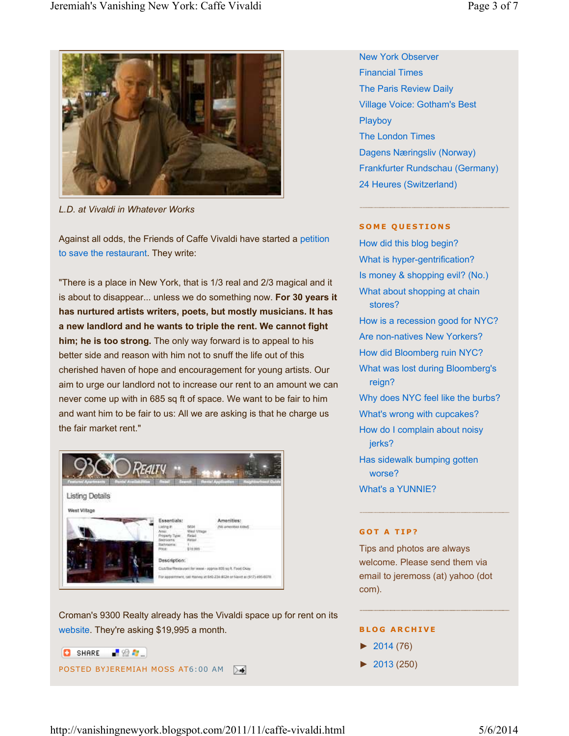

*L.D. at Vivaldi in Whatever Works*

Against all odds, the Friends of Caffe Vivaldi have started a petition to save the restaurant. They write:

"There is a place in New York, that is 1/3 real and 2/3 magical and it is about to disappear... unless we do something now. **For 30 years it has nurtured artists writers, poets, but mostly musicians. It has a new landlord and he wants to triple the rent. We cannot fight him; he is too strong.** The only way forward is to appeal to his better side and reason with him not to snuff the life out of this cherished haven of hope and encouragement for young artists. Our aim to urge our landlord not to increase our rent to an amount we can never come up with in 685 sq ft of space. We want to be fair to him and want him to be fair to us: All we are asking is that he charge us the fair market rent."



Croman's 9300 Realty already has the Vivaldi space up for rent on its website. They're asking \$19,995 a month.



New York Observer Financial Times The Paris Review Daily Village Voice: Gotham's Best **Playboy** The London Times Dagens Næringsliv (Norway) Frankfurter Rundschau (Germany) 24 Heures (Switzerland)

#### **SOME QUESTIONS**

How did this blog begin? What is hyper-gentrification? Is money & shopping evil? (No.) What about shopping at chain stores? How is a recession good for NYC? Are non-natives New Yorkers? How did Bloomberg ruin NYC? What was lost during Bloomberg's reign? Why does NYC feel like the burbs? What's wrong with cupcakes? How do I complain about noisy jerks?

Has sidewalk bumping gotten worse?

What's a YUNNIE?

#### **GOT A TIP?**

Tips and photos are always welcome. Please send them via email to jeremoss (at) yahoo (dot com).

#### **B L O G A R C H I V E**

- $\blacktriangleright$  2014 (76)
- ► 2013 (250)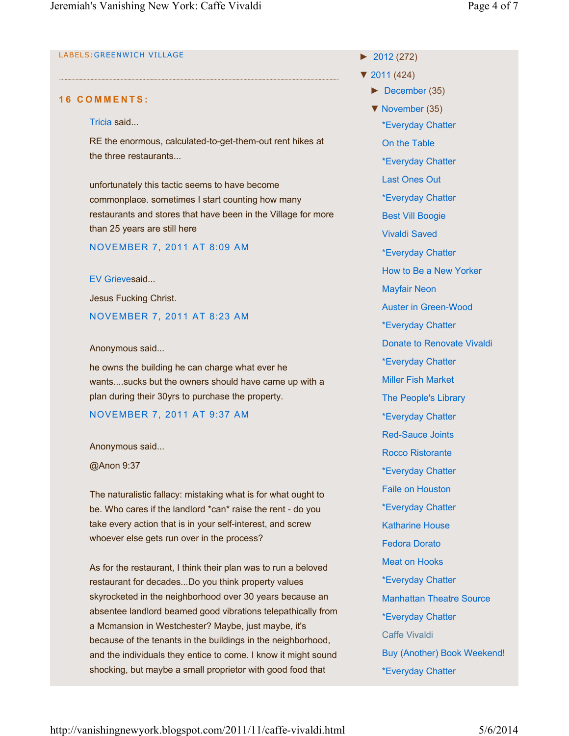# LABELS:GREENWICH VILLAGE

# **1 6 C O M M E N T S :**

## Tricia said...

RE the enormous, calculated-to-get-them-out rent hikes at the three restaurants...

unfortunately this tactic seems to have become commonplace. sometimes I start counting how many restaurants and stores that have been in the Village for more than 25 years are still here

NOVEMBER 7, 2011 AT 8:09 AM

EV Grievesaid...

Jesus Fucking Christ.

NOVEMBER 7, 2011 AT 8:23 AM

# Anonymous said...

he owns the building he can charge what ever he wants....sucks but the owners should have came up with a plan during their 30yrs to purchase the property.

# NOVEMBER 7, 2011 AT 9:37 AM

# Anonymous said...

@Anon 9:37

The naturalistic fallacy: mistaking what is for what ought to be. Who cares if the landlord \*can\* raise the rent - do you take every action that is in your self-interest, and screw whoever else gets run over in the process?

As for the restaurant, I think their plan was to run a beloved restaurant for decades...Do you think property values skyrocketed in the neighborhood over 30 years because an absentee landlord beamed good vibrations telepathically from a Mcmansion in Westchester? Maybe, just maybe, it's because of the tenants in the buildings in the neighborhood, and the individuals they entice to come. I know it might sound shocking, but maybe a small proprietor with good food that

► 2012 (272)

- ▼ 2011 (424)
	- ► December (35)
	- ▼ November (35)
		- \*Everyday Chatter

On the Table

\*Everyday Chatter

Last Ones Out

- \*Everyday Chatter
- Best Vill Boogie

Vivaldi Saved

\*Everyday Chatter

How to Be a New Yorker

- Mayfair Neon
- Auster in Green-Wood

\*Everyday Chatter

- Donate to Renovate Vivaldi
- \*Everyday Chatter
- Miller Fish Market
- The People's Library
- \*Everyday Chatter
- Red-Sauce Joints
- Rocco Ristorante
- \*Everyday Chatter
- Faile on Houston
- \*Everyday Chatter
- Katharine House
- Fedora Dorato
- Meat on Hooks
- 
- \*Everyday Chatter
- Manhattan Theatre Source
- \*Everyday Chatter
- Caffe Vivaldi
- Buy (Another) Book Weekend!
- \*Everyday Chatter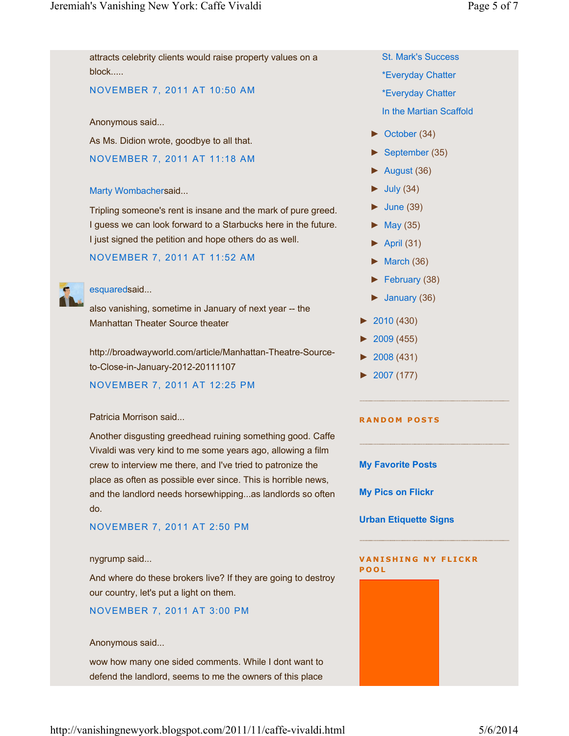attracts celebrity clients would raise property values on a

► October (34) ► August (36)  $\blacktriangleright$  July (34)  $\blacktriangleright$  June (39)  $\blacktriangleright$  May (35)  $\blacktriangleright$  April (31)  $\blacktriangleright$  March (36) ► January (36) ► 2010 (430) ► 2009 (455) ► 2008 (431) ► 2007 (177) block..... NOVEMBER 7, 2011 AT 10:50 AM Anonymous said... As Ms. Didion wrote, goodbye to all that. NOVEMBER 7, 2011 AT 11:18 AM Marty Wombachersaid... Tripling someone's rent is insane and the mark of pure greed. I guess we can look forward to a Starbucks here in the future. I just signed the petition and hope others do as well. NOVEMBER 7, 2011 AT 11:52 AM esquaredsaid... also vanishing, sometime in January of next year -- the Manhattan Theater Source theater http://broadwayworld.com/article/Manhattan-Theatre-Sourceto-Close-in-January-2012-20111107 NOVEMBER 7, 2011 AT 12:25 PM

# Patricia Morrison said...

Another disgusting greedhead ruining something good. Caffe Vivaldi was very kind to me some years ago, allowing a film crew to interview me there, and I've tried to patronize the place as often as possible ever since. This is horrible news, and the landlord needs horsewhipping...as landlords so often do.

# NOVEMBER 7, 2011 AT 2:50 PM

#### nygrump said...

And where do these brokers live? If they are going to destroy our country, let's put a light on them.

#### NOVEMBER 7, 2011 AT 3:00 PM

#### Anonymous said...

wow how many one sided comments. While I dont want to defend the landlord, seems to me the owners of this place

- St. Mark's Success
- \*Everyday Chatter
- \*Everyday Chatter
- In the Martian Scaffold
- ► September (35)

- ► February (38)
- 

#### **R A N D O M P O S T S**

#### **My Favorite Posts**

**My Pics on Flickr**

**Urban Etiquette Signs**

#### **VANISHING NY FLICKR P O O L**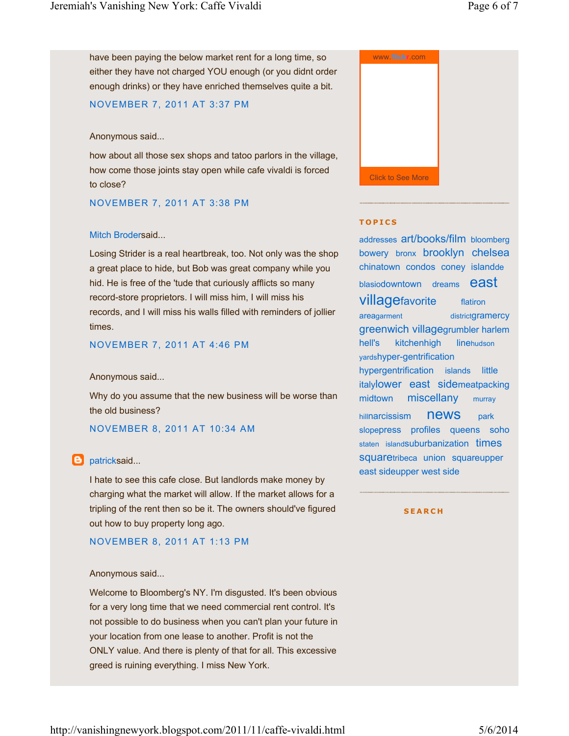have been paying the below market rent for a long time, so either they have not charged YOU enough (or you didnt order enough drinks) or they have enriched themselves quite a bit.

# NOVEMBER 7, 2011 AT 3:37 PM

#### Anonymous said...

how about all those sex shops and tatoo parlors in the village, how come those joints stay open while cafe vivaldi is forced to close?

#### NOVEMBER 7, 2011 AT 3:38 PM

#### Mitch Brodersaid...

Losing Strider is a real heartbreak, too. Not only was the shop a great place to hide, but Bob was great company while you hid. He is free of the 'tude that curiously afflicts so many record-store proprietors. I will miss him, I will miss his records, and I will miss his walls filled with reminders of jollier times.

#### NOVEMBER 7, 2011 AT 4:46 PM

#### Anonymous said...

Why do you assume that the new business will be worse than the old business?

# NOVEMBER 8, 2011 AT 10:34 AM

# **D** patricksaid...

I hate to see this cafe close. But landlords make money by charging what the market will allow. If the market allows for a tripling of the rent then so be it. The owners should've figured out how to buy property long ago.

# NOVEMBER 8, 2011 AT 1:13 PM

#### Anonymous said...

Welcome to Bloomberg's NY. I'm disgusted. It's been obvious for a very long time that we need commercial rent control. It's not possible to do business when you can't plan your future in your location from one lease to another. Profit is not the ONLY value. And there is plenty of that for all. This excessive greed is ruining everything. I miss New York.



#### **T O P I C S**

addresses art/books/film bloomberg bowery bronx brooklyn chelsea chinatown condos coney islandde blasiodowntown dreams  $\boldsymbol{e}$ aSt **villagefavorite** districtgramercy greenwich villagegrumbler harlem hell's kitchenhigh yardshyper-gentrification hypergentrification islands little italylower east sidemeatpacking midtown miscellany hillnarcissism news park slopepress profiles queens soho staten islandSuburbanization times squaretribeca union squareupper east sideupper west side flatiron areagarment linehudson murray

**S E A R C H**